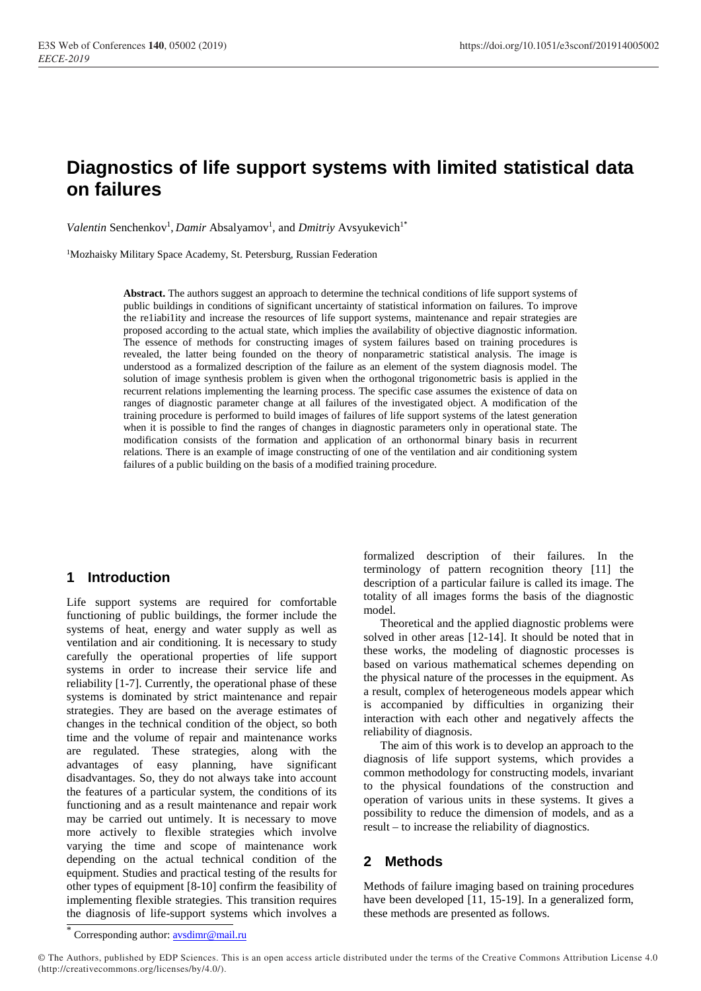# **Diagnostics of life support systems with limited statistical data on failures**

Valentin Senchenkov<sup>1</sup>, Damir Absalyamov<sup>1</sup>, and Dmitriy Avsyukevich<sup>1\*</sup>

<sup>1</sup>Mozhaisky Military Space Academy, St. Petersburg, Russian Federation

**Abstract.** The authors suggest an approach to determine the technical conditions of life support systems of public buildings in conditions of significant uncertainty of statistical information on failures. To improve the re1iabi1ity and increase the resources of life support systems, maintenance and repair strategies are proposed according to the actual state, which implies the availability of objective diagnostic information. The essence of methods for constructing images of system failures based on training procedures is revealed, the latter being founded on the theory of nonparametric statistical analysis. The image is understood as a formalized description of the failure as an element of the system diagnosis model. The solution of image synthesis problem is given when the orthogonal trigonometric basis is applied in the recurrent relations implementing the learning process. The specific case assumes the existence of data on ranges of diagnostic parameter change at all failures of the investigated object. A modification of the training procedure is performed to build images of failures of life support systems of the latest generation when it is possible to find the ranges of changes in diagnostic parameters only in operational state. The modification consists of the formation and application of an orthonormal binary basis in recurrent relations. There is an example of image constructing of one of the ventilation and air conditioning system failures of a public building on the basis of a modified training procedure.

### **1 Introduction**

Life support systems are required for comfortable functioning of public buildings, the former include the systems of heat, energy and water supply as well as ventilation and air conditioning. It is necessary to study carefully the operational properties of life support systems in order to increase their service life and reliability [1-7]. Currently, the operational phase of these systems is dominated by strict maintenance and repair strategies. They are based on the average estimates of changes in the technical condition of the object, so both time and the volume of repair and maintenance works are regulated. These strategies, along with the advantages of easy planning, have significant disadvantages. So, they do not always take into account the features of a particular system, the conditions of its functioning and as a result maintenance and repair work may be carried out untimely. It is necessary to move more actively to flexible strategies which involve varying the time and scope of maintenance work depending on the actual technical condition of the equipment. Studies and practical testing of the results for other types of equipment [8-10] confirm the feasibility of implementing flexible strategies. This transition requires the diagnosis of life-support systems which involves a

formalized description of their failures. In the terminology of pattern recognition theory [11] the description of a particular failure is called its image. The totality of all images forms the basis of the diagnostic model.

Theoretical and the applied diagnostic problems were solved in other areas [12-14]. It should be noted that in these works, the modeling of diagnostic processes is based on various mathematical schemes depending on the physical nature of the processes in the equipment. As a result, complex of heterogeneous models appear which is accompanied by difficulties in organizing their interaction with each other and negatively affects the reliability of diagnosis.

The aim of this work is to develop an approach to the diagnosis of life support systems, which provides a common methodology for constructing models, invariant to the physical foundations of the construction and operation of various units in these systems. It gives a possibility to reduce the dimension of models, and as a result – to increase the reliability of diagnostics.

## **2 Methods**

Methods of failure imaging based on training procedures have been developed [11, 15-19]. In a generalized form, these methods are presented as follows.

<sup>\*</sup> Corresponding author[: avsdimr@mail.ru](mailto:avsdimr@mail.ru)

<sup>©</sup> The Authors, published by EDP Sciences. This is an open access article distributed under the terms of the Creative Commons Attribution License 4.0 (http://creativecommons.org/licenses/by/4.0/).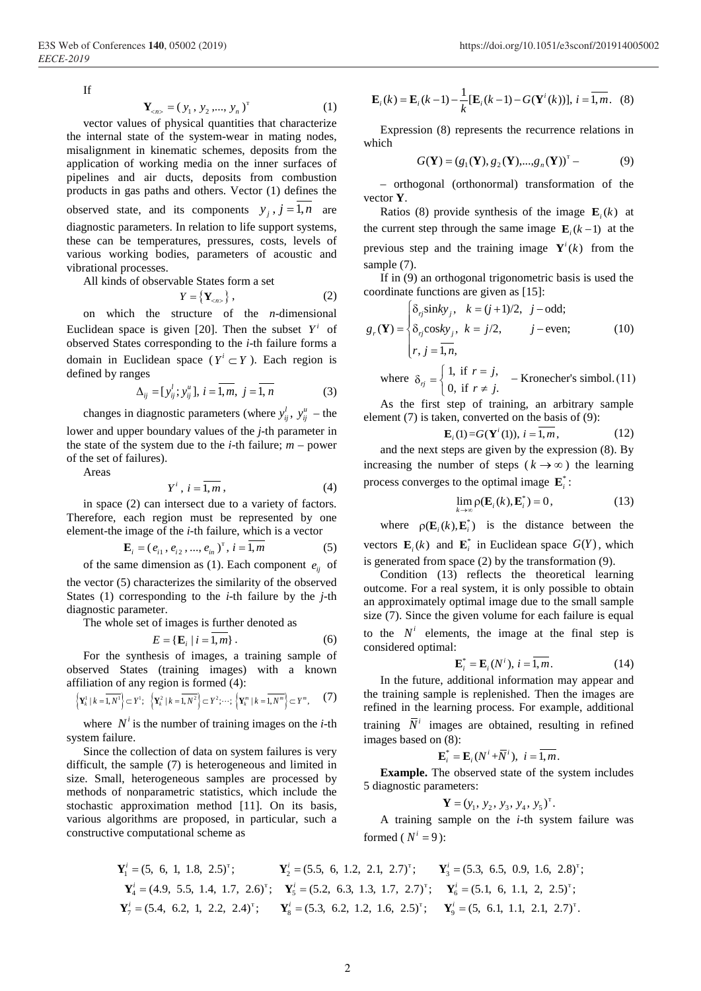If

$$
\mathbf{Y}_{\leq n>} = (y_1, y_2, \dots, y_n)^{\mathrm{T}}
$$
 (1)

vector values of physical quantities that characterize the internal state of the system-wear in mating nodes, misalignment in kinematic schemes, deposits from the application of working media on the inner surfaces of pipelines and air ducts, deposits from combustion products in gas paths and others. Vector (1) defines the observed state, and its components  $y_i$ ,  $j = \overline{1, n}$  are diagnostic parameters. In relation to life support systems, these can be temperatures, pressures, costs, levels of various working bodies, parameters of acoustic and vibrational processes.

All kinds of observable States form a set

$$
Y = \left\{ \mathbf{Y}_{\scriptscriptstyle {}} \right\},\tag{2}
$$

on which the structure of the *n*-dimensional Euclidean space is given [20]. Then the subset  $Y^i$  of observed States corresponding to the *i*-th failure forms a domain in Euclidean space ( $Y^i \subset Y$ ). Each region is defined by ranges

$$
\Delta_{ij} = [y_{ij}^l; y_{ij}^u], i = \overline{1, m}, j = \overline{1, n}
$$
 (3)

changes in diagnostic parameters (where  $y_{ij}^l$ ,  $y_{ij}^u$  – the lower and upper boundary values of the *j*-th parameter in the state of the system due to the *i*-th failure; *m* – power of the set of failures).

Areas

$$
Y^i, i = \overline{1,m}, \tag{4}
$$

in space (2) can intersect due to a variety of factors. Therefore, each region must be represented by one element-the image of the *i*-th failure, which is a vector

$$
\mathbf{E}_{i} = (e_{i1}, e_{i2}, ..., e_{in})^{T}, i = \overline{1,m}
$$
 (5)

of the same dimension as (1). Each component  $e_{ii}$  of the vector (5) characterizes the similarity of the observed States (1) corresponding to the *i*-th failure by the *j*-th diagnostic parameter.

The whole set of images is further denoted as

$$
E = \{ \mathbf{E}_i \mid i = 1, m \} . \tag{6}
$$

For the synthesis of images, a training sample of observed States (training images) with a known affiliation of any region is formed (4):

$$
\left\{\mathbf{Y}_{k}^{1} \mid k=\overline{1,N^{1}}\right\} \subset Y^{1}; \quad \left\{\mathbf{Y}_{k}^{2} \mid k=\overline{1,N^{2}}\right\} \subset Y^{2}; \cdots; \left\{\mathbf{Y}_{k}^{m} \mid k=\overline{1,N^{m}}\right\} \subset Y^{m}, \qquad (7)
$$

where  $N^i$  is the number of training images on the *i*-th system failure.

Since the collection of data on system failures is very difficult, the sample (7) is heterogeneous and limited in size. Small, heterogeneous samples are processed by methods of nonparametric statistics, which include the stochastic approximation method [11]. On its basis, various algorithms are proposed, in particular, such a constructive computational scheme as

E3S Web of Conferences **140**, 05002 (2019) https://doi.org/10.1051/e3sconf/201914005002

$$
\mathbf{E}_{i}(k) = \mathbf{E}_{i}(k-1) - \frac{1}{k} [\mathbf{E}_{i}(k-1) - G(\mathbf{Y}^{i}(k))], i = \overline{1,m}.
$$
 (8)

Expression (8) represents the recurrence relations in which

$$
G(\mathbf{Y}) = (g_1(\mathbf{Y}), g_2(\mathbf{Y}), ..., g_n(\mathbf{Y}))^{\mathrm{T}} - (9)
$$

– orthogonal (orthonormal) transformation of the vector **Y**.

Ratios (8) provide synthesis of the image  $\mathbf{E}_i(k)$  at the current step through the same image  $\mathbf{E}_{i}(k-1)$  at the previous step and the training image  $Y^{i}(k)$  from the sample  $(7)$ .

If in (9) an orthogonal trigonometric basis is used the coordinate functions are given as [15]:

$$
g_r(\mathbf{Y}) = \begin{cases} \delta_{rj} \sin k y_j, & k = (j+1)/2, \ j - \text{odd}; \\ \delta_{rj} \cos k y_j, & k = j/2, \ j - \text{even}; \end{cases}
$$
(10)  

$$
r, j = \overline{1, n}, \qquad (1 \text{ if } r = j)
$$

where 
$$
\delta_{rj} = \begin{cases} 1, & \text{if } r = j, \\ 0, & \text{if } r \neq j. \end{cases}
$$
 - Kronecher's simbol. (11)

As the first step of training, an arbitrary sample element (7) is taken, converted on the basis of (9):

$$
\mathbf{E}_{i}(1) = G(\mathbf{Y}^{i}(1)), i = 1, m,
$$
 (12)

and the next steps are given by the expression (8). By increasing the number of steps ( $k \rightarrow \infty$ ) the learning process converges to the optimal image  $\mathbf{E}_i^*$ :

$$
\lim_{k \to \infty} \rho(\mathbf{E}_i(k), \mathbf{E}_i^*) = 0,\tag{13}
$$

where  $\rho(E_i(k), E_i^*)$  is the distance between the vectors  $\mathbf{E}_i(k)$  and  $\mathbf{E}_i^*$  in Euclidean space  $G(Y)$ , which is generated from space (2) by the transformation (9).

Condition (13) reflects the theoretical learning outcome. For a real system, it is only possible to obtain an approximately optimal image due to the small sample size (7). Since the given volume for each failure is equal to the  $N^i$  elements, the image at the final step is considered optimal:

$$
\mathbf{E}_i^* = \mathbf{E}_i(N^i), \, i = 1, m. \tag{14}
$$

In the future, additional information may appear and the training sample is replenished. Then the images are refined in the learning process. For example, additional training  $\overline{N}^i$  images are obtained, resulting in refined images based on (8):

$$
\mathbf{E}_{i}^{*}=\mathbf{E}_{i}(N^{i}+\overline{N}^{i}), i=\overline{1,m}.
$$

**Example.** The observed state of the system includes 5 diagnostic parameters:

$$
\mathbf{Y} = (y_1, y_2, y_3, y_4, y_5)^{\mathrm{T}}.
$$

A training sample on the *i*-th system failure was formed ( $N^i = 9$ ):

$$
\mathbf{Y}_{1}^{i} = (5, 6, 1, 1.8, 2.5)^{T};
$$
  $\mathbf{Y}_{2}^{i} = (5.5, 6, 1.2, 2.1, 2.7)^{T};$   $\mathbf{Y}_{3}^{i} = (5.3, 6.5, 0.9, 1.6, 2.8)^{T};$   
\n $\mathbf{Y}_{4}^{i} = (4.9, 5.5, 1.4, 1.7, 2.6)^{T};$   $\mathbf{Y}_{5}^{i} = (5.2, 6.3, 1.3, 1.7, 2.7)^{T};$   $\mathbf{Y}_{6}^{i} = (5.1, 6, 1.1, 2, 2.5)^{T};$   
\n $\mathbf{Y}_{7}^{i} = (5.4, 6.2, 1, 2.2, 2.4)^{T};$   $\mathbf{Y}_{8}^{i} = (5.3, 6.2, 1.2, 1.6, 2.5)^{T};$   $\mathbf{Y}_{9}^{i} = (5, 6.1, 1.1, 2.1, 2.7)^{T}.$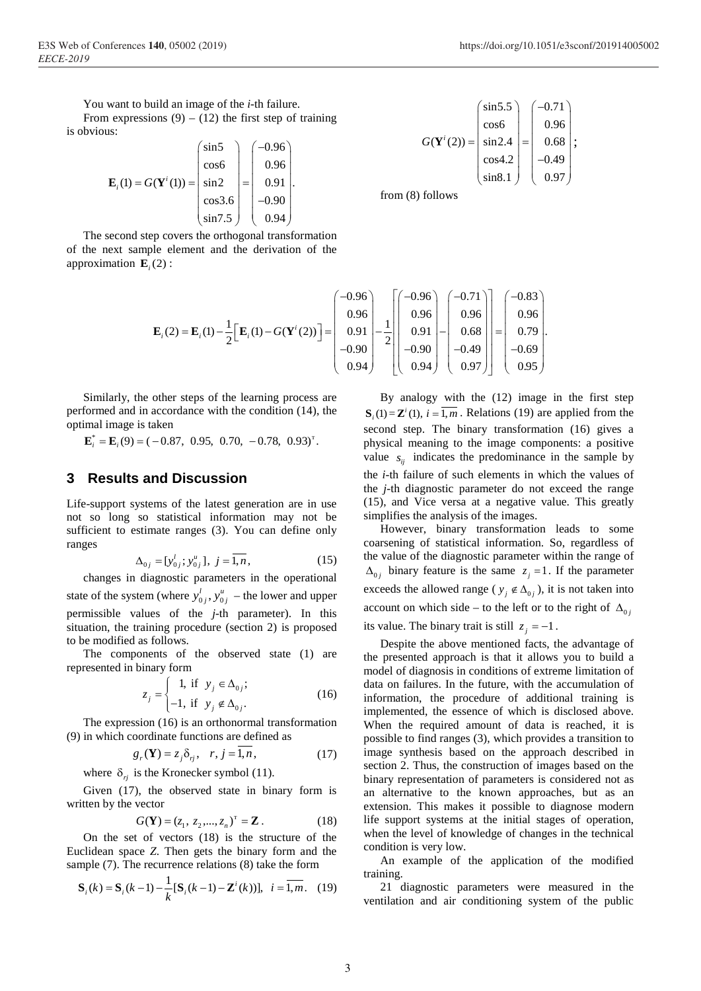You want to build an image of the *i*-th failure.

From expressions  $(9) - (12)$  the first step of training is obvious:

$$
\mathbf{E}_{i}(1) = G(\mathbf{Y}^{i}(1)) = \begin{pmatrix} \sin 5 \\ \cos 6 \\ \sin 2 \\ \cos 3.6 \\ \sin 7.5 \end{pmatrix} = \begin{pmatrix} -0.96 \\ 0.96 \\ 0.91 \\ -0.90 \\ 0.94 \end{pmatrix}.
$$

The second step covers the orthogonal transformation of the next sample element and the derivation of the approximation  $\mathbf{E}_i(2)$  :

$$
G(\mathbf{Y}^{i}(2)) = \begin{pmatrix} \sin 5.5 \\ \cos 6 \\ \sin 2.4 \\ \cos 4.2 \\ \sin 8.1 \end{pmatrix} = \begin{pmatrix} -0.71 \\ 0.96 \\ 0.68 \\ -0.49 \\ 0.97 \end{pmatrix};
$$

from (8) follows

$$
\mathbf{E}_{i}(2) = \mathbf{E}_{i}(1) - \frac{1}{2} \Big[ \mathbf{E}_{i}(1) - G(\mathbf{Y}^{i}(2)) \Big] = \begin{bmatrix} -0.96 \\ 0.96 \\ 0.91 \\ -0.90 \\ 0.94 \end{bmatrix} - \frac{1}{2} \begin{bmatrix} -0.96 \\ 0.96 \\ 0.91 \\ -0.90 \\ 0.94 \end{bmatrix} - \begin{bmatrix} -0.71 \\ 0.96 \\ 0.96 \\ -0.68 \\ -0.49 \\ 0.97 \end{bmatrix} = \begin{bmatrix} -0.83 \\ 0.96 \\ 0.79 \\ -0.69 \\ 0.95 \end{bmatrix}.
$$

Similarly, the other steps of the learning process are performed and in accordance with the condition (14), the optimal image is taken

$$
\mathbf{E}_{i}^{*} = \mathbf{E}_{i}(9) = (-0.87, 0.95, 0.70, -0.78, 0.93)^{\mathrm{T}}.
$$

#### **3 Results and Discussion**

Life-support systems of the latest generation are in use not so long so statistical information may not be sufficient to estimate ranges (3). You can define only ranges

$$
\Delta_{0j} = [y_{0j}^l; y_{0j}^u], \ j = \overline{1, n}, \tag{15}
$$

changes in diagnostic parameters in the operational state of the system (where  $y_{0j}^l$ ,  $y_{0j}^u$  – the lower and upper permissible values of the *j*-th parameter). In this situation, the training procedure (section 2) is proposed to be modified as follows.

The components of the observed state (1) are represented in binary form

$$
z_j = \begin{cases} 1, & \text{if } y_j \in \Delta_{0j}; \\ -1, & \text{if } y_j \notin \Delta_{0j}. \end{cases}
$$
 (16)

The expression (16) is an orthonormal transformation (9) in which coordinate functions are defined as

$$
g_r(\mathbf{Y}) = z_j \delta_{rj}, \quad r, j = 1, n,
$$
\n(17)

where  $\delta_{ri}$  is the Kronecker symbol (11).

Given (17), the observed state in binary form is written by the vector

$$
G(\mathbf{Y}) = (z_1, z_2, ..., z_n)^T = \mathbf{Z}.
$$
 (18)

On the set of vectors (18) is the structure of the Euclidean space *Z*. Then gets the binary form and the sample (7). The recurrence relations (8) take the form

$$
\mathbf{S}_{i}(k) = \mathbf{S}_{i}(k-1) - \frac{1}{k} [\mathbf{S}_{i}(k-1) - \mathbf{Z}^{i}(k))], \quad i = \overline{1,m}. \quad (19)
$$

By analogy with the (12) image in the first step  $S_i(1) = \mathbb{Z}^i(1), i = 1, m$ . Relations (19) are applied from the second step. The binary transformation (16) gives a physical meaning to the image components: a positive value  $s_{ij}$  indicates the predominance in the sample by the *i*-th failure of such elements in which the values of the *j*-th diagnostic parameter do not exceed the range (15), and Vice versa at a negative value. This greatly simplifies the analysis of the images.

However, binary transformation leads to some coarsening of statistical information. So, regardless of the value of the diagnostic parameter within the range of  $\Delta_{0i}$  binary feature is the same  $z_i = 1$ . If the parameter exceeds the allowed range ( $y_i \notin \Delta_{0i}$ ), it is not taken into account on which side – to the left or to the right of  $\Delta_{0i}$ its value. The binary trait is still  $z_i = -1$ .

Despite the above mentioned facts, the advantage of the presented approach is that it allows you to build a model of diagnosis in conditions of extreme limitation of data on failures. In the future, with the accumulation of information, the procedure of additional training is implemented, the essence of which is disclosed above. When the required amount of data is reached, it is possible to find ranges (3), which provides a transition to image synthesis based on the approach described in section 2. Thus, the construction of images based on the binary representation of parameters is considered not as an alternative to the known approaches, but as an extension. This makes it possible to diagnose modern life support systems at the initial stages of operation, when the level of knowledge of changes in the technical condition is very low.

An example of the application of the modified training.

21 diagnostic parameters were measured in the ventilation and air conditioning system of the public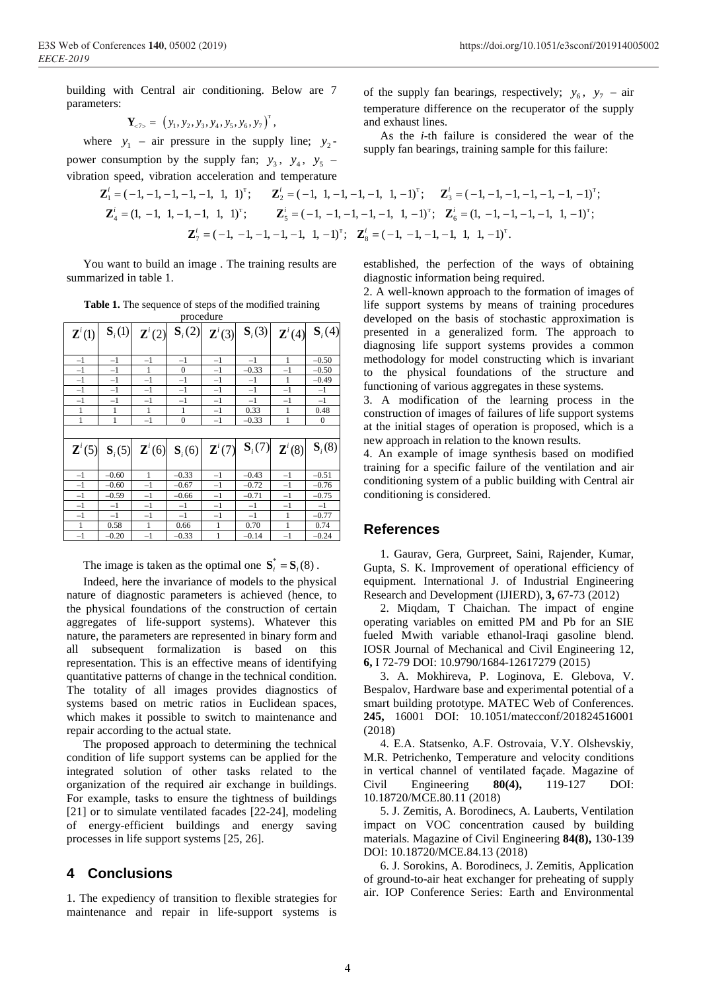building with Central air conditioning. Below are 7 parameters:

$$
\mathbf{Y}_{<7>} = (y_1, y_2, y_3, y_4, y_5, y_6, y_7)^{\mathrm{T}},
$$

where  $y_1$  – air pressure in the supply line;  $y_2$ power consumption by the supply fan;  $y_3$ ,  $y_4$ ,  $y_5$  – vibration speed, vibration acceleration and temperature

$$
\mathbf{Z}_{1}^{i} = (-1, -1, -1, -1, -1, 1, 1)^{T}; \qquad \mathbf{Z}_{2}^{i} = (-1, 1, -1, -1, -1, 1, -1)^{T}; \qquad \mathbf{Z}_{3}^{i} = (-1, -1, -1, -1, -1, -1, -1)^{T};
$$
\n
$$
\mathbf{Z}_{4}^{i} = (1, -1, 1, -1, -1, 1, 1)^{T}; \qquad \mathbf{Z}_{5}^{i} = (-1, -1, -1, -1, -1, 1, -1)^{T}; \qquad \mathbf{Z}_{6}^{i} = (1, -1, -1, -1, -1, 1, -1)^{T};
$$
\n
$$
\mathbf{Z}_{7}^{i} = (-1, -1, -1, -1, -1, 1, -1)^{T}; \qquad \mathbf{Z}_{8}^{i} = (-1, -1, -1, -1, 1, 1, -1)^{T}.
$$

You want to build an image. The training results are summarized in table 1.

Table 1. The sequence of steps of the modified training procedure

| $\mathbf{Z}^i(1)$ |         | $S_i(1)$ $\mathbf{Z}^i(2)$ |                                     | $S_i(2)$ $\mathbf{Z}^i(3)$ | $S_i(3)$ | $\mathbf{Z}^i(4)$ | $S_i(4)$     |
|-------------------|---------|----------------------------|-------------------------------------|----------------------------|----------|-------------------|--------------|
|                   |         |                            |                                     |                            |          |                   |              |
| $^{-1}$           | $^{-1}$ | $^{-1}$                    | $^{-1}$                             | $^{-1}$                    | $-1$     | 1                 | $-0.50$      |
| $-1$              | $^{-1}$ | 1                          | $\Omega$                            | $-1$                       | $-0.33$  | $-1$              | $-0.50$      |
| $-1$              | $-1$    | $-1$                       | $-1$                                | $-1$                       | $-1$     | 1                 | $-0.49$      |
| $-1$              | $^{-1}$ | $^{-1}$                    | $^{-1}$                             | $^{-1}$                    | $^{-1}$  | $^{-1}$           | $-1$         |
| $-1$              | $^{-1}$ | $^{-1}$                    | $^{-1}$                             | $^{-1}$                    | $-1$     | $-1$              | $-1$         |
| 1                 | 1       | 1                          | 1                                   | $^{-1}$                    | 0.33     | 1                 | 0.48         |
| 1                 | 1       | $-1$                       | $\Omega$                            | $-1$                       | $-0.33$  | 1                 | $\mathbf{0}$ |
|                   |         |                            |                                     |                            |          |                   |              |
|                   |         |                            |                                     |                            |          |                   |              |
| $\mathbf{Z}^i(5)$ |         |                            | $S_i(5)$ $\mathbf{Z}^i(6)$ $S_i(6)$ | $\mathbf{Z}^i(7)$          |          | $S_i(7) Z^i(8)$   | $S_i(8)$     |
| $-1$              | $-0.60$ | 1                          | $-0.33$                             | $^{-1}$                    | $-0.43$  | $-1$              | $-0.51$      |
| $-1$              | $-0.60$ | $-1$                       | $-0.67$                             | $-1$                       | $-0.72$  | $-1$              | $-0.76$      |
| $^{-1}$           | $-0.59$ | $^{-1}$                    | $-0.66$                             | $^{-1}$                    | $-0.71$  | $^{-1}$           | $-0.75$      |
| $^{-1}$           | $-1$    | $-1$                       | $^{-1}$                             | $^{-1}$                    | $^{-1}$  | $^{-1}$           | $-1$         |
| $-1$              | $-1$    | $-1$                       | $-1$                                | $-1$                       | $-1$     | 1                 | $-0.77$      |
| 1                 | 0.58    | 1                          | 0.66                                | 1                          | 0.70     | 1                 | 0.74         |

The image is taken as the optimal one  $S_i^* = S_i(8)$ .

Indeed, here the invariance of models to the physical nature of diagnostic parameters is achieved (hence, to the physical foundations of the construction of certain aggregates of life-support systems). Whatever this nature, the parameters are represented in binary form and all subsequent formalization is based on this representation. This is an effective means of identifying quantitative patterns of change in the technical condition. The totality of all images provides diagnostics of systems based on metric ratios in Euclidean spaces, which makes it possible to switch to maintenance and repair according to the actual state.

The proposed approach to determining the technical condition of life support systems can be applied for the integrated solution of other tasks related to the organization of the required air exchange in buildings. For example, tasks to ensure the tightness of buildings [21] or to simulate ventilated facades [22-24], modeling of energy-efficient buildings and energy saving processes in life support systems [25, 26].

#### 4 **Conclusions**

1. The expediency of transition to flexible strategies for maintenance and repair in life-support systems is of the supply fan bearings, respectively;  $y_6$ ,  $y_7$  – air temperature difference on the recuperator of the supply and exhaust lines.

As the *i*-th failure is considered the wear of the supply fan bearings, training sample for this failure:

1, -1)'; 
$$
\mathbb{Z}_8 = (-1, -1, -1, -1, 1, 1, -1)
$$
.  
is are established the perfection of the ways of obtainin

established, the perfection of the ways of obtaining diagnostic information being required.

2. A well-known approach to the formation of images of life support systems by means of training procedures developed on the basis of stochastic approximation is presented in a generalized form. The approach to diagnosing life support systems provides a common methodology for model constructing which is invariant to the physical foundations of the structure and functioning of various aggregates in these systems.

3. A modification of the learning process in the construction of images of failures of life support systems at the initial stages of operation is proposed, which is a new approach in relation to the known results.

4. An example of image synthesis based on modified training for a specific failure of the ventilation and air conditioning system of a public building with Central air conditioning is considered.

#### **References**

1. Gaurav, Gera, Gurpreet, Saini, Rajender, Kumar, Gupta, S. K. Improvement of operational efficiency of equipment. International J. of Industrial Engineering Research and Development (IJIERD), 3, 67-73 (2012)

2. Miqdam, T Chaichan. The impact of engine operating variables on emitted PM and Pb for an SIE fueled Mwith variable ethanol-Iraqi gasoline blend. IOSR Journal of Mechanical and Civil Engineering 12, 6, I 72-79 DOI: 10.9790/1684-12617279 (2015)

3. A. Mokhireva, P. Loginova, E. Glebova, V. Bespalov, Hardware base and experimental potential of a smart building prototype. MATEC Web of Conferences. 245, 16001 DOI: 10.1051/matecconf/201824516001  $(2018)$ 

4. E.A. Statsenko, A.F. Ostrovaia, V.Y. Olshevskiy, M.R. Petrichenko, Temperature and velocity conditions in vertical channel of ventilated façade. Magazine of Civil Engineering  $80(4),$ 119-127  $DOI<sup>+</sup>$ 10.18720/MCE.80.11 (2018)

5. J. Zemitis, A. Borodinecs, A. Lauberts, Ventilation impact on VOC concentration caused by building materials. Magazine of Civil Engineering 84(8), 130-139 DOI: 10.18720/MCE.84.13 (2018)

6. J. Sorokins, A. Borodinecs, J. Zemitis, Application of ground-to-air heat exchanger for preheating of supply air. IOP Conference Series: Earth and Environmental